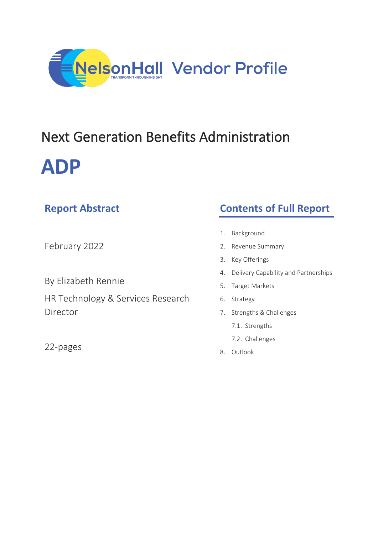

# Next Generation Benefits Administration **ADP**

| <b>NEPULL ADSURGUL</b>            | <b>CONCITS OF FUIL REPORT</b>              |
|-----------------------------------|--------------------------------------------|
|                                   |                                            |
|                                   | Background<br>1.                           |
| February 2022                     | Revenue Summary<br>2.                      |
|                                   | Key Offerings<br>3.                        |
|                                   | Delivery Capability and Partnerships<br>4. |
| By Elizabeth Rennie               | Target Markets<br>5.                       |
| HR Technology & Services Research | Strategy<br>6.                             |
| Director                          | Strengths & Challenges<br>7.               |
|                                   |                                            |

22-pages

**Report Abstract**

7.1. Strengths

**Contents of Full Report**

- 7.2. Challenges
- 8. Outlook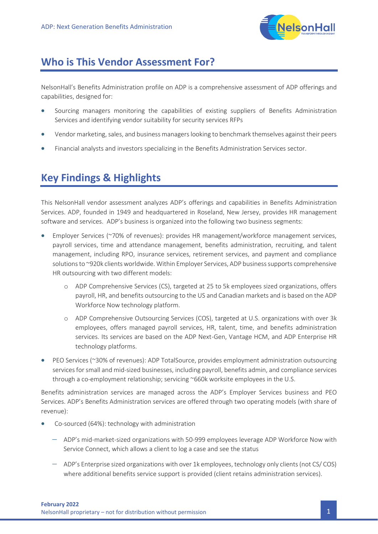

## **Who is This Vendor Assessment For?**

NelsonHall's Benefits Administration profile on ADP is a comprehensive assessment of ADP offerings and capabilities, designed for:

- Sourcing managers monitoring the capabilities of existing suppliers of Benefits Administration Services and identifying vendor suitability for security services RFPs
- Vendor marketing, sales, and business managers looking to benchmark themselves against their peers
- Financial analysts and investors specializing in the Benefits Administration Services sector.

# **Key Findings & Highlights**

This NelsonHall vendor assessment analyzes ADP's offerings and capabilities in Benefits Administration Services. ADP, founded in 1949 and headquartered in Roseland, New Jersey, provides HR management software and services. ADP's business is organized into the following two business segments:

- Employer Services (~70% of revenues): provides HR management/workforce management services, payroll services, time and attendance management, benefits administration, recruiting, and talent management, including RPO, insurance services, retirement services, and payment and compliance solutions to ~920k clients worldwide. Within Employer Services, ADP business supports comprehensive HR outsourcing with two different models:
	- o ADP Comprehensive Services (CS), targeted at 25 to 5k employees sized organizations, offers payroll, HR, and benefits outsourcing to the US and Canadian markets and is based on the ADP Workforce Now technology platform.
	- o ADP Comprehensive Outsourcing Services (COS), targeted at U.S. organizations with over 3k employees, offers managed payroll services, HR, talent, time, and benefits administration services. Its services are based on the ADP Next-Gen, Vantage HCM, and ADP Enterprise HR technology platforms.
- PEO Services (~30% of revenues): ADP TotalSource, provides employment administration outsourcing services for small and mid-sized businesses, including payroll, benefits admin, and compliance services through a co-employment relationship; servicing ~660k worksite employees in the U.S.

Benefits administration services are managed across the ADP's Employer Services business and PEO Services. ADP's Benefits Administration services are offered through two operating models (with share of revenue):

- Co-sourced (64%): technology with administration
	- − ADP's mid-market-sized organizations with 50-999 employees leverage ADP Workforce Now with Service Connect, which allows a client to log a case and see the status
	- − ADP's Enterprise sized organizations with over 1k employees, technology only clients (not CS/ COS) where additional benefits service support is provided (client retains administration services).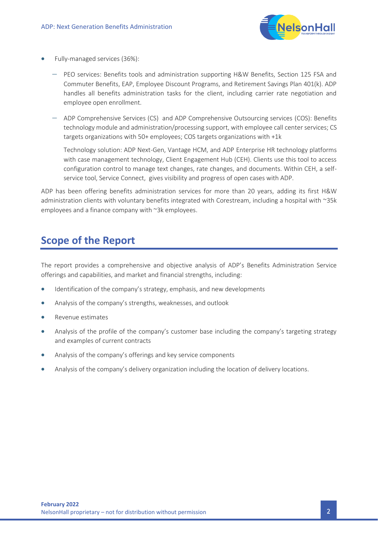

- Fully-managed services (36%):
	- − PEO services: Benefits tools and administration supporting H&W Benefits, Section 125 FSA and Commuter Benefits, EAP, Employee Discount Programs, and Retirement Savings Plan 401(k). ADP handles all benefits administration tasks for the client, including carrier rate negotiation and employee open enrollment.
	- − ADP Comprehensive Services (CS) and ADP Comprehensive Outsourcing services (COS): Benefits technology module and administration/processing support, with employee call center services; CS targets organizations with 50+ employees; COS targets organizations with +1k

Technology solution: ADP Next-Gen, Vantage HCM, and ADP Enterprise HR technology platforms with case management technology, Client Engagement Hub (CEH). Clients use this tool to access configuration control to manage text changes, rate changes, and documents. Within CEH, a selfservice tool, Service Connect, gives visibility and progress of open cases with ADP.

ADP has been offering benefits administration services for more than 20 years, adding its first H&W administration clients with voluntary benefits integrated with Corestream, including a hospital with ~35k employees and a finance company with ~3k employees.

## **Scope of the Report**

The report provides a comprehensive and objective analysis of ADP's Benefits Administration Service offerings and capabilities, and market and financial strengths, including:

- Identification of the company's strategy, emphasis, and new developments
- Analysis of the company's strengths, weaknesses, and outlook
- Revenue estimates
- Analysis of the profile of the company's customer base including the company's targeting strategy and examples of current contracts
- Analysis of the company's offerings and key service components
- Analysis of the company's delivery organization including the location of delivery locations.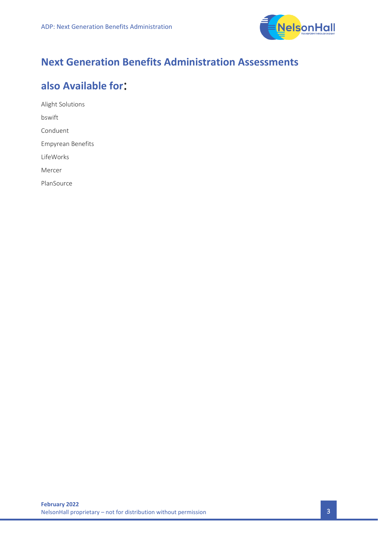

# **Next Generation Benefits Administration Assessments**

## **also Available for**:

Alight Solutions bswift Conduent Empyrean Benefits LifeWorks Mercer PlanSource

**February 2022** NelsonHall proprietary – not for distribution without permission  $\overline{3}$